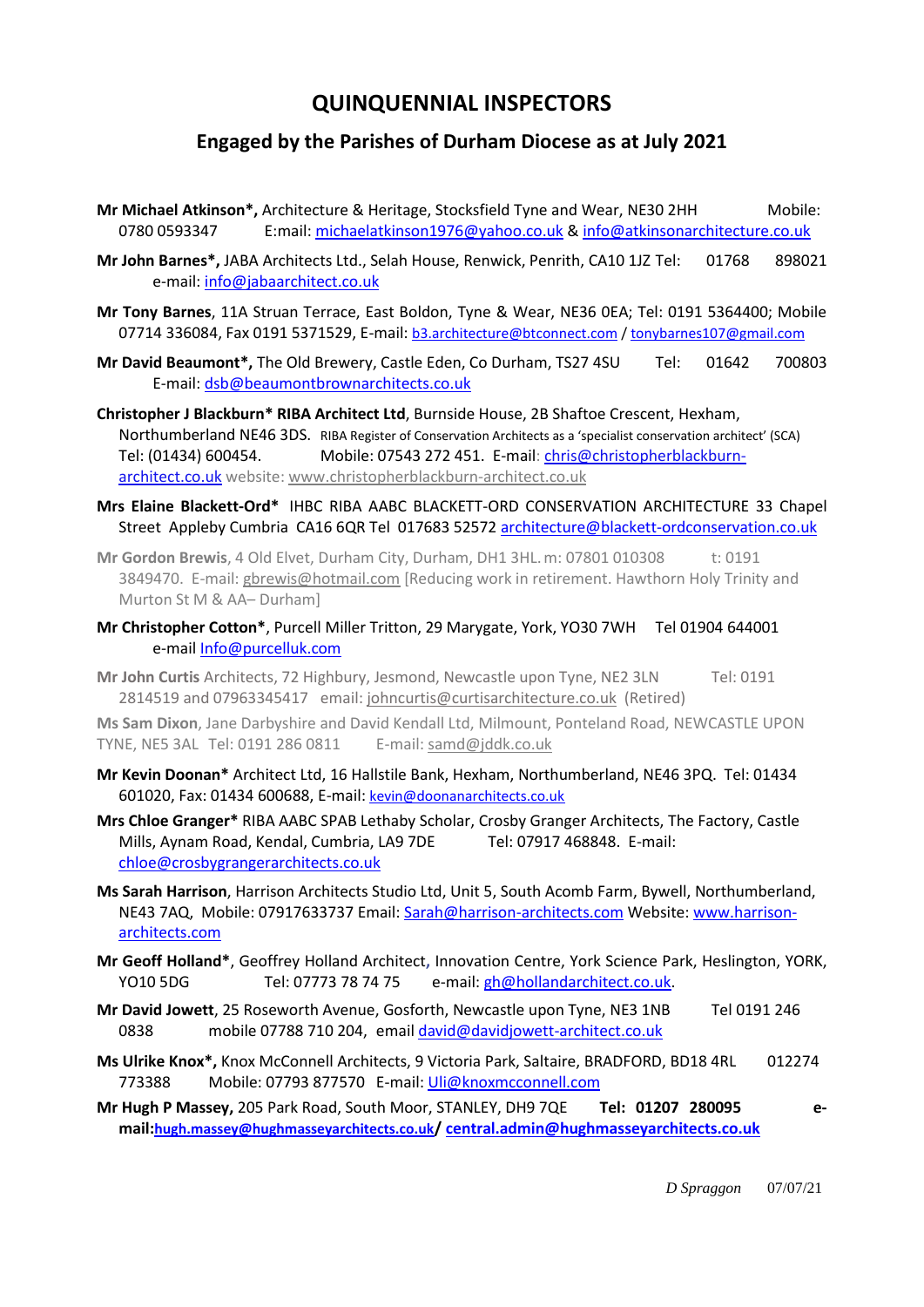## **QUINQUENNIAL INSPECTORS**

## **Engaged by the Parishes of Durham Diocese as at July 2021**

- **Mr Michael Atkinson\*,** Architecture & Heritage, Stocksfield Tyne and Wear, NE30 2HH Mobile: 0780 0593347 E:mail: [michaelatkinson1976@yahoo.co.uk](mailto:michaelatkinson1976@yahoo.co.uk) [& info@atkinsonarchitecture.co.uk](mailto:info@atkinsonarchitecture.co.uk)
- **Mr John Barnes\*,** JABA Architects Ltd., Selah House, Renwick, Penrith, CA10 1JZ Tel: 01768 898021 e-mail[: info@jabaarchitect.co.uk](mailto:info@jabaarchitect.co.uk)
- **Mr Tony Barnes**, 11A Struan Terrace, East Boldon, Tyne & Wear, NE36 0EA; Tel: 0191 5364400; Mobile 07714 336084, Fax 0191 5371529, E-mail: [b3.architecture@btconnect.com](mailto:b3.architecture@btconnect.com) [/ tonybarnes107@gmail.com](mailto:tonybarnes107@gmail.com)
- **Mr David Beaumont\*,** The Old Brewery, Castle Eden, Co Durham, TS27 4SU Tel: 01642 700803 E-mail[: dsb@beaumontbrownarchitects.co.uk](mailto:dsb@beaumontbrownarchitects.co.uk)
- **Christopher J Blackburn\* RIBA Architect Ltd**, Burnside House, 2B Shaftoe Crescent, Hexham, Northumberland NE46 3DS. RIBA Register of Conservation Architects as a 'specialist conservation architect' (SCA) Tel: (01434) 600454. Mobile: 07543 272 451. E-mail[: chris@christopherblackburn](mailto:chris@christopherblackburn-architect.co.uk)[architect.co.uk](mailto:chris@christopherblackburn-architect.co.uk) website: [www.christopherblackburn-architect.co.uk](http://www.christopherblackburn-architect.co.uk/)
- **Mrs Elaine Blackett-Ord\*** IHBC RIBA AABC BLACKETT-ORD CONSERVATION ARCHITECTURE 33 Chapel Street Appleby Cumbria CA16 6QR Tel 017683 52572 [architecture@blackett-ordconservation.co.uk](mailto:architecture@blackett-ordconservation.co.uk)
- **Mr Gordon Brewis**, 4 Old Elvet, Durham City, Durham, DH1 3HL.m: 07801 010308 t: 0191 3849470. E-mail[: gbrewis@hotmail.com](mailto:gbrewis@hotmail.com) [Reducing work in retirement. Hawthorn Holy Trinity and Murton St M & AA– Durham]
- **Mr Christopher Cotton\***, Purcell Miller Tritton, 29 Marygate, York, YO30 7WH Tel 01904 644001 e-mail [Info@purcelluk.com](mailto:Info@purcelluk.com)
- **Mr John Curtis** Architects, 72 Highbury, Jesmond, Newcastle upon Tyne, NE2 3LN Tel: 0191 2814519 and 07963345417 email[: johncurtis@curtisarchitecture.co.uk](mailto:johncurtis@curtisarchitecture.co.uk) (Retired)

**Ms Sam Dixon**, Jane Darbyshire and David Kendall Ltd, Milmount, Ponteland Road, NEWCASTLE UPON TYNE, NE5 3AL Tel: 0191 286 0811 E-mail[: samd@jddk.co.uk](mailto:samd@jddk.co.uk)

- **Mr Kevin Doonan\*** Architect Ltd, 16 Hallstile Bank, Hexham, Northumberland, NE46 3PQ. Tel: 01434 601020, Fax: 01434 600688, E-mail: [kevin@doonanarchitects.co.uk](mailto:kevin@doonanarchitects.co.uk)
- **Mrs Chloe Granger\*** RIBA AABC SPAB Lethaby Scholar, Crosby Granger Architects, The Factory, Castle Mills, Aynam Road, Kendal, Cumbria, LA9 7DE Tel: 07917 468848. E-mail: [chloe@crosbygrangerarchitects.co.uk](mailto:chloe@crosbygrangerarchitects.co.uk)
- **Ms Sarah Harrison**, Harrison Architects Studio Ltd, Unit 5, South Acomb Farm, Bywell, Northumberland, NE43 7AQ, Mobile: 07917633737 Email[: Sarah@harrison-architects.com](mailto:Sarah@harrison-architects.com) Website[: www.harrison](http://www.harrison-architects.com/)[architects.com](http://www.harrison-architects.com/)
- **Mr Geoff Holland\***, Geoffrey Holland Architect**,** Innovation Centre, York Science Park, Heslington, YORK, YO10 5DG Tel: 07773 78 74 75 e-mail: [gh@hollandarchitect.co.uk.](mailto:gh@hollandarchitect.co.uk)
- **Mr David Jowett**, 25 Roseworth Avenue, Gosforth, Newcastle upon Tyne, NE3 1NB Tel 0191 246 0838 mobile 07788 710 204, emai[l david@davidjowett-architect.co.uk](mailto:david@davidjowett-architect.co.uk)
- **Ms Ulrike Knox\*,** Knox McConnell Architects, 9 Victoria Park, Saltaire, BRADFORD, BD18 4RL 012274 773388 Mobile: 07793 877570 E-mail[: Uli@knoxmcconnell.com](mailto:Uli@knoxmcconnell.com)
- **Mr Hugh P Massey,** 205 Park Road, South Moor, STANLEY, DH9 7QE **Tel: 01207 280095 email:[hugh.massey@hughmasseyarchitects.co.uk](mailto:hugh.massey@hughmasseyarchitects.co.uk)/ [central.admin@hughmasseyarchitects.co.uk](mailto:central.admin@hughmasseyarchitects.co.uk)**